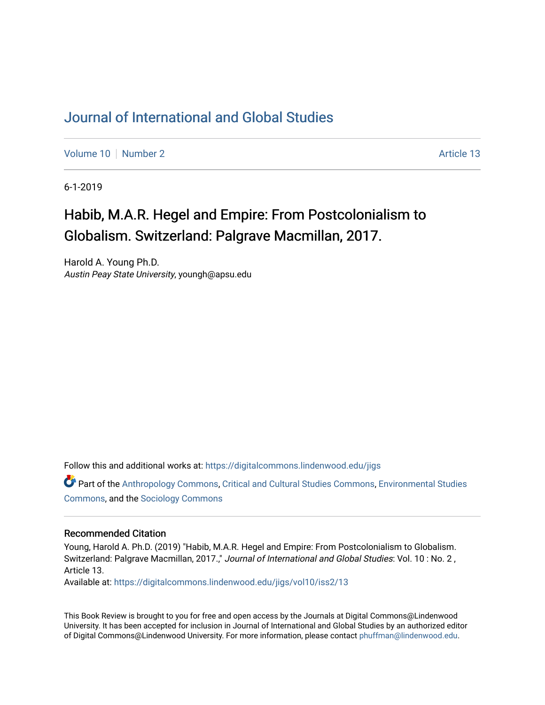## [Journal of International and Global Studies](https://digitalcommons.lindenwood.edu/jigs)

[Volume 10](https://digitalcommons.lindenwood.edu/jigs/vol10) [Number 2](https://digitalcommons.lindenwood.edu/jigs/vol10/iss2) Article 13

6-1-2019

# Habib, M.A.R. Hegel and Empire: From Postcolonialism to Globalism. Switzerland: Palgrave Macmillan, 2017.

Harold A. Young Ph.D. Austin Peay State University, youngh@apsu.edu

Follow this and additional works at: [https://digitalcommons.lindenwood.edu/jigs](https://digitalcommons.lindenwood.edu/jigs?utm_source=digitalcommons.lindenwood.edu%2Fjigs%2Fvol10%2Fiss2%2F13&utm_medium=PDF&utm_campaign=PDFCoverPages) 

Part of the [Anthropology Commons](http://network.bepress.com/hgg/discipline/318?utm_source=digitalcommons.lindenwood.edu%2Fjigs%2Fvol10%2Fiss2%2F13&utm_medium=PDF&utm_campaign=PDFCoverPages), [Critical and Cultural Studies Commons](http://network.bepress.com/hgg/discipline/328?utm_source=digitalcommons.lindenwood.edu%2Fjigs%2Fvol10%2Fiss2%2F13&utm_medium=PDF&utm_campaign=PDFCoverPages), [Environmental Studies](http://network.bepress.com/hgg/discipline/1333?utm_source=digitalcommons.lindenwood.edu%2Fjigs%2Fvol10%2Fiss2%2F13&utm_medium=PDF&utm_campaign=PDFCoverPages)  [Commons](http://network.bepress.com/hgg/discipline/1333?utm_source=digitalcommons.lindenwood.edu%2Fjigs%2Fvol10%2Fiss2%2F13&utm_medium=PDF&utm_campaign=PDFCoverPages), and the [Sociology Commons](http://network.bepress.com/hgg/discipline/416?utm_source=digitalcommons.lindenwood.edu%2Fjigs%2Fvol10%2Fiss2%2F13&utm_medium=PDF&utm_campaign=PDFCoverPages)

#### Recommended Citation

Young, Harold A. Ph.D. (2019) "Habib, M.A.R. Hegel and Empire: From Postcolonialism to Globalism. Switzerland: Palgrave Macmillan, 2017.," Journal of International and Global Studies: Vol. 10: No. 2, Article 13.

Available at: [https://digitalcommons.lindenwood.edu/jigs/vol10/iss2/13](https://digitalcommons.lindenwood.edu/jigs/vol10/iss2/13?utm_source=digitalcommons.lindenwood.edu%2Fjigs%2Fvol10%2Fiss2%2F13&utm_medium=PDF&utm_campaign=PDFCoverPages) 

This Book Review is brought to you for free and open access by the Journals at Digital Commons@Lindenwood University. It has been accepted for inclusion in Journal of International and Global Studies by an authorized editor of Digital Commons@Lindenwood University. For more information, please contact [phuffman@lindenwood.edu](mailto:phuffman@lindenwood.edu).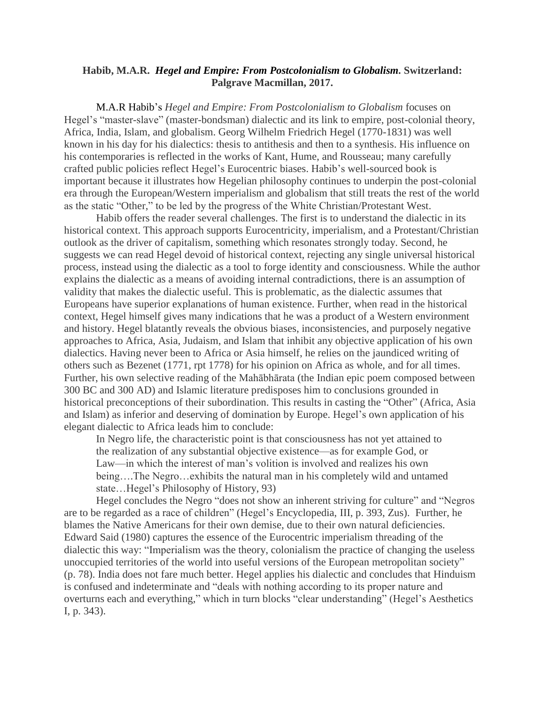### **Habib, M.A.R.** *Hegel and Empire: From Postcolonialism to Globalism.* **Switzerland: Palgrave Macmillan, 2017.**

M.A.R Habib's *Hegel and Empire: From Postcolonialism to Globalism* focuses on Hegel's "master-slave" (master-bondsman) dialectic and its link to empire, post-colonial theory, Africa, India, Islam, and globalism. Georg Wilhelm Friedrich Hegel (1770-1831) was well known in his day for his dialectics: thesis to antithesis and then to a synthesis. His influence on his contemporaries is reflected in the works of Kant, Hume, and Rousseau; many carefully crafted public policies reflect Hegel's Eurocentric biases. Habib's well-sourced book is important because it illustrates how Hegelian philosophy continues to underpin the post-colonial era through the European/Western imperialism and globalism that still treats the rest of the world as the static "Other," to be led by the progress of the White Christian/Protestant West.

Habib offers the reader several challenges. The first is to understand the dialectic in its historical context. This approach supports Eurocentricity, imperialism, and a Protestant/Christian outlook as the driver of capitalism, something which resonates strongly today. Second, he suggests we can read Hegel devoid of historical context, rejecting any single universal historical process, instead using the dialectic as a tool to forge identity and consciousness. While the author explains the dialectic as a means of avoiding internal contradictions, there is an assumption of validity that makes the dialectic useful. This is problematic, as the dialectic assumes that Europeans have superior explanations of human existence. Further, when read in the historical context, Hegel himself gives many indications that he was a product of a Western environment and history. Hegel blatantly reveals the obvious biases, inconsistencies, and purposely negative approaches to Africa, Asia, Judaism, and Islam that inhibit any objective application of his own dialectics. Having never been to Africa or Asia himself, he relies on the jaundiced writing of others such as Bezenet (1771, rpt 1778) for his opinion on Africa as whole, and for all times. Further, his own selective reading of the Mahābhārata (the Indian epic poem composed between 300 BC and 300 AD) and Islamic literature predisposes him to conclusions grounded in historical preconceptions of their subordination. This results in casting the "Other" (Africa, Asia and Islam) as inferior and deserving of domination by Europe. Hegel's own application of his elegant dialectic to Africa leads him to conclude:

In Negro life, the characteristic point is that consciousness has not yet attained to the realization of any substantial objective existence—as for example God, or Law—in which the interest of man's volition is involved and realizes his own being….The Negro…exhibits the natural man in his completely wild and untamed state…Hegel's Philosophy of History, 93)

Hegel concludes the Negro "does not show an inherent striving for culture" and "Negros are to be regarded as a race of children" (Hegel's Encyclopedia, III, p. 393, Zus). Further, he blames the Native Americans for their own demise, due to their own natural deficiencies. Edward Said (1980) captures the essence of the Eurocentric imperialism threading of the dialectic this way: "Imperialism was the theory, colonialism the practice of changing the useless unoccupied territories of the world into useful versions of the European metropolitan society" (p. 78). India does not fare much better. Hegel applies his dialectic and concludes that Hinduism is confused and indeterminate and "deals with nothing according to its proper nature and overturns each and everything," which in turn blocks "clear understanding" (Hegel's Aesthetics I, p. 343).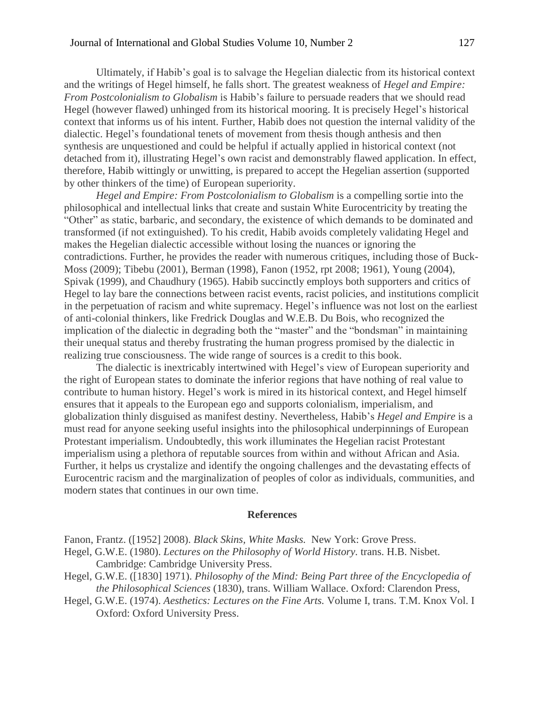Ultimately, if Habib's goal is to salvage the Hegelian dialectic from its historical context and the writings of Hegel himself, he falls short. The greatest weakness of *Hegel and Empire: From Postcolonialism to Globalism* is Habib's failure to persuade readers that we should read Hegel (however flawed) unhinged from its historical mooring. It is precisely Hegel's historical context that informs us of his intent. Further, Habib does not question the internal validity of the dialectic. Hegel's foundational tenets of movement from thesis though anthesis and then synthesis are unquestioned and could be helpful if actually applied in historical context (not detached from it), illustrating Hegel's own racist and demonstrably flawed application. In effect, therefore, Habib wittingly or unwitting, is prepared to accept the Hegelian assertion (supported by other thinkers of the time) of European superiority.

*Hegel and Empire: From Postcolonialism to Globalism* is a compelling sortie into the philosophical and intellectual links that create and sustain White Eurocentricity by treating the "Other" as static, barbaric, and secondary, the existence of which demands to be dominated and transformed (if not extinguished). To his credit, Habib avoids completely validating Hegel and makes the Hegelian dialectic accessible without losing the nuances or ignoring the contradictions. Further, he provides the reader with numerous critiques, including those of Buck-Moss (2009); Tibebu (2001), Berman (1998), Fanon (1952, rpt 2008; 1961), Young (2004), Spivak (1999), and Chaudhury (1965). Habib succinctly employs both supporters and critics of Hegel to lay bare the connections between racist events, racist policies, and institutions complicit in the perpetuation of racism and white supremacy. Hegel's influence was not lost on the earliest of anti-colonial thinkers, like Fredrick Douglas and W.E.B. Du Bois, who recognized the implication of the dialectic in degrading both the "master" and the "bondsman" in maintaining their unequal status and thereby frustrating the human progress promised by the dialectic in realizing true consciousness. The wide range of sources is a credit to this book.

The dialectic is inextricably intertwined with Hegel's view of European superiority and the right of European states to dominate the inferior regions that have nothing of real value to contribute to human history. Hegel's work is mired in its historical context, and Hegel himself ensures that it appeals to the European ego and supports colonialism, imperialism, and globalization thinly disguised as manifest destiny. Nevertheless, Habib's *Hegel and Empire* is a must read for anyone seeking useful insights into the philosophical underpinnings of European Protestant imperialism. Undoubtedly, this work illuminates the Hegelian racist Protestant imperialism using a plethora of reputable sources from within and without African and Asia. Further, it helps us crystalize and identify the ongoing challenges and the devastating effects of Eurocentric racism and the marginalization of peoples of color as individuals, communities, and modern states that continues in our own time.

#### **References**

Fanon, Frantz. ([1952] 2008). *Black Skins, White Masks.* New York: Grove Press.

- Hegel, G.W.E. (1980). *Lectures on the Philosophy of World History.* trans. H.B. Nisbet. Cambridge: Cambridge University Press.
- Hegel, G.W.E. ([1830] 1971). *Philosophy of the Mind: Being Part three of the Encyclopedia of the Philosophical Sciences* (1830), trans. William Wallace. Oxford: Clarendon Press,
- Hegel, G.W.E. (1974). *Aesthetics: Lectures on the Fine Arts.* Volume I, trans. T.M. Knox Vol. I Oxford: Oxford University Press.